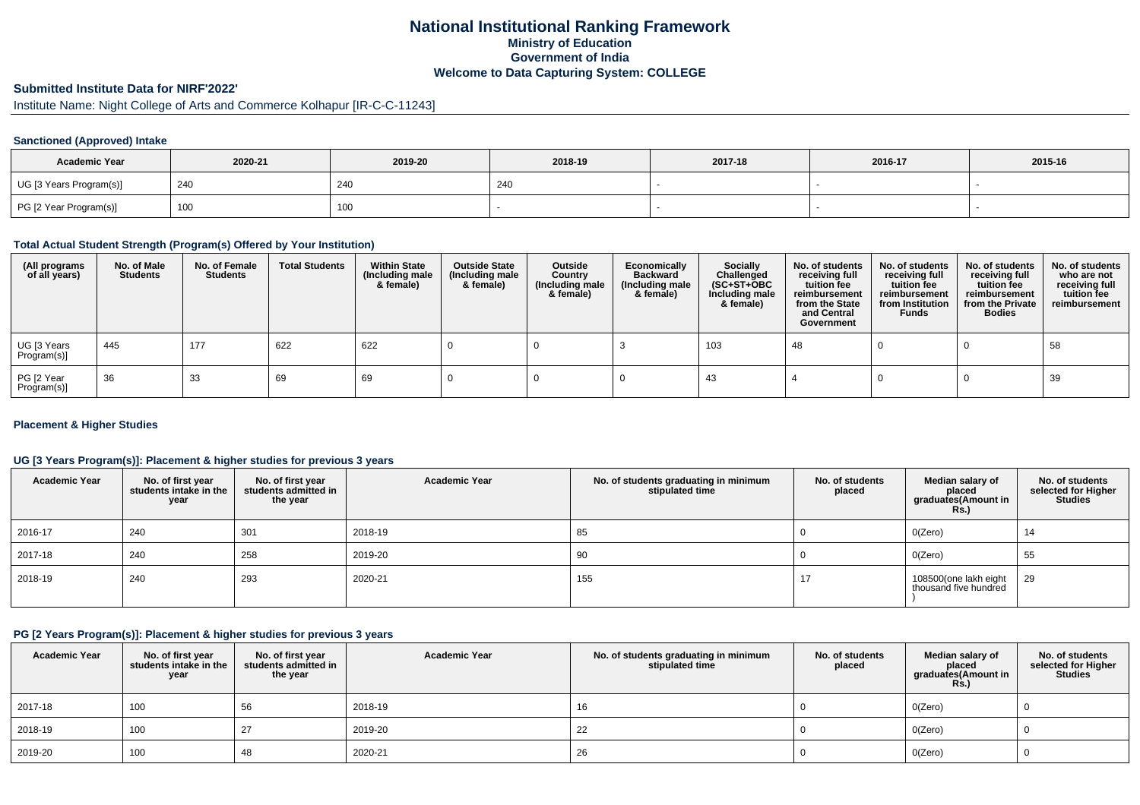# **National Institutional Ranking FrameworkMinistry of Education Government of IndiaWelcome to Data Capturing System: COLLEGE**

### **Submitted Institute Data for NIRF'2022'**

# Institute Name: Night College of Arts and Commerce Kolhapur [IR-C-C-11243]

#### **Sanctioned (Approved) Intake**

| <b>Academic Year</b>    | 2020-21 | 2019-20 | 2018-19    | 2017-18 | 2016-17 | 2015-16 |
|-------------------------|---------|---------|------------|---------|---------|---------|
| UG [3 Years Program(s)] | 240     | 240     | <b>240</b> |         |         |         |
| PG [2 Year Program(s)]  | 100     | 100     |            |         |         |         |

#### **Total Actual Student Strength (Program(s) Offered by Your Institution)**

| (All programs<br>of all years) | No. of Male<br>Students | No. of Female<br><b>Students</b> | <b>Total Students</b> | <b>Within State</b><br>(Including male<br>& female) | <b>Outside State</b><br>(Including male<br>& female) | Outside<br>Country<br>(Including male<br>& female) | Economically<br><b>Backward</b><br>(Including male<br>& female) | <b>Socially</b><br>Challenged<br>$(SC+ST+OBC)$<br>Including male<br>& female) | No. of students<br>receiving full<br>tuition fee<br>reimbursement<br>from the State<br>and Central<br>Government | No. of students<br>receiving full<br>tuition fee<br>reimbursement<br>from Institution<br><b>Funds</b> | No. of students<br>receiving full<br>tuition fee<br>reimbursement<br>from the Private<br><b>Bodies</b> | No. of students<br>who are not<br>receiving full<br>tuition fee<br>reimbursement |
|--------------------------------|-------------------------|----------------------------------|-----------------------|-----------------------------------------------------|------------------------------------------------------|----------------------------------------------------|-----------------------------------------------------------------|-------------------------------------------------------------------------------|------------------------------------------------------------------------------------------------------------------|-------------------------------------------------------------------------------------------------------|--------------------------------------------------------------------------------------------------------|----------------------------------------------------------------------------------|
| UG [3 Years<br>Program(s)]     | 445                     | 177                              | 622                   | 622                                                 |                                                      |                                                    |                                                                 | 103                                                                           | 48                                                                                                               |                                                                                                       |                                                                                                        | 58                                                                               |
| PG [2 Year<br>Program(s)       | 36                      | 33                               | 69                    | 69                                                  |                                                      |                                                    |                                                                 | 43                                                                            |                                                                                                                  |                                                                                                       |                                                                                                        | 39                                                                               |

#### **Placement & Higher Studies**

#### **UG [3 Years Program(s)]: Placement & higher studies for previous 3 years**

| <b>Academic Year</b> | No. of first year<br>students intake in the<br>year | No. of first vear<br>students admitted in<br>the year | <b>Academic Year</b> | No. of students graduating in minimum<br>stipulated time | No. of students<br>placed | Median salary of<br>placed<br>graduates(Amount in<br>Rs. | No. of students<br>selected for Higher<br><b>Studies</b> |
|----------------------|-----------------------------------------------------|-------------------------------------------------------|----------------------|----------------------------------------------------------|---------------------------|----------------------------------------------------------|----------------------------------------------------------|
| 2016-17              | 240                                                 | 301                                                   | 2018-19              | 85                                                       |                           | O(Zero)                                                  | 14                                                       |
| 2017-18              | 240                                                 | 258                                                   | 2019-20              | 90                                                       |                           | O(Zero)                                                  | 55                                                       |
| 2018-19              | 240                                                 | 293                                                   | 2020-21              | 155                                                      | 17                        | 108500(one lakh eight<br>thousand five hundred           | 29                                                       |

### **PG [2 Years Program(s)]: Placement & higher studies for previous 3 years**

| <b>Academic Year</b> | No. of first year<br>students intake in the<br>year | No. of first vear<br>students admitted in<br>the year | <b>Academic Year</b> | No. of students graduating in minimum<br>stipulated time | No. of students<br>placed | Median salary of<br>placed<br>graduates(Amount in<br><b>Rs.)</b> | No. of students<br>selected for Higher<br><b>Studies</b> |
|----------------------|-----------------------------------------------------|-------------------------------------------------------|----------------------|----------------------------------------------------------|---------------------------|------------------------------------------------------------------|----------------------------------------------------------|
| 2017-18              | 100                                                 | 56                                                    | 2018-19              | 16                                                       |                           | O(Zero)                                                          |                                                          |
| 2018-19              | 100                                                 | 27                                                    | 2019-20              | 22                                                       |                           | O(Zero)                                                          |                                                          |
| 2019-20              | 100                                                 | 48                                                    | 2020-21              | 26                                                       |                           | O(Zero)                                                          |                                                          |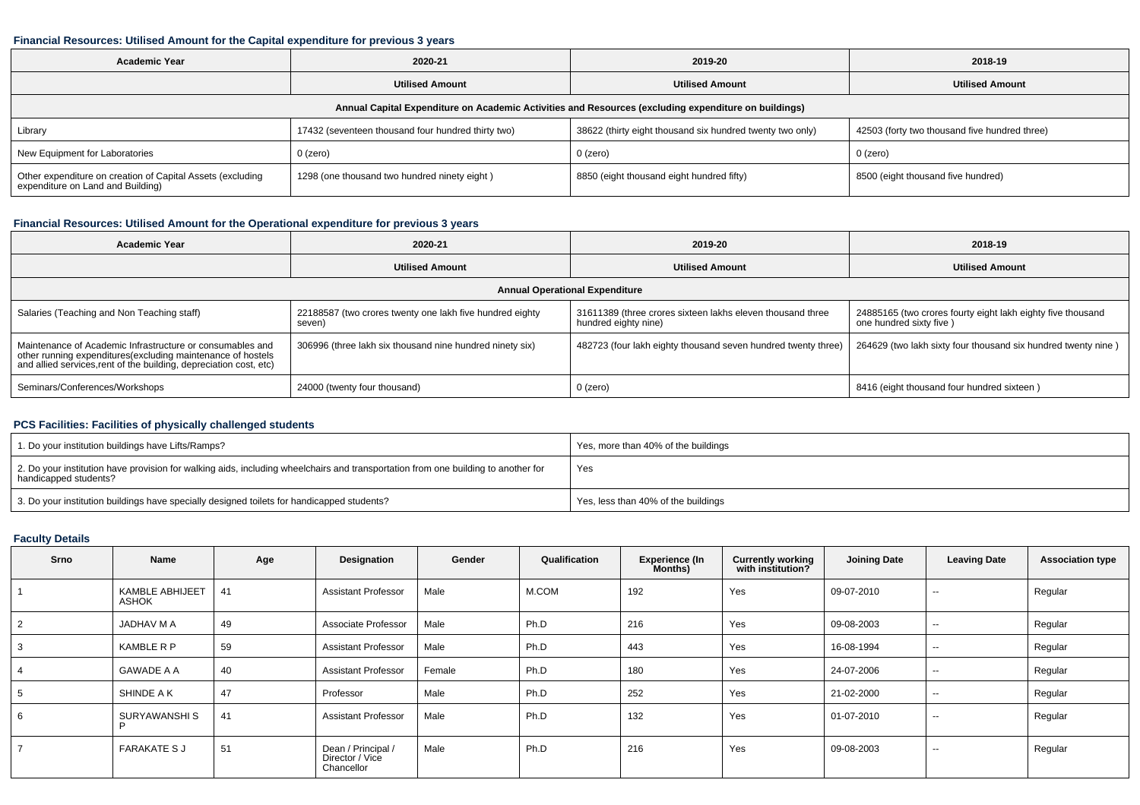#### **Financial Resources: Utilised Amount for the Capital expenditure for previous 3 years**

| <b>Academic Year</b>                                                                                 | 2020-21                                            | 2019-20                                                   | 2018-19                                       |  |  |  |  |  |  |
|------------------------------------------------------------------------------------------------------|----------------------------------------------------|-----------------------------------------------------------|-----------------------------------------------|--|--|--|--|--|--|
|                                                                                                      | <b>Utilised Amount</b>                             | <b>Utilised Amount</b>                                    | <b>Utilised Amount</b>                        |  |  |  |  |  |  |
| Annual Capital Expenditure on Academic Activities and Resources (excluding expenditure on buildings) |                                                    |                                                           |                                               |  |  |  |  |  |  |
| Library                                                                                              | 17432 (seventeen thousand four hundred thirty two) | 38622 (thirty eight thousand six hundred twenty two only) | 42503 (forty two thousand five hundred three) |  |  |  |  |  |  |
| New Equipment for Laboratories                                                                       | $0$ (zero)                                         | $0$ (zero)                                                | $0$ (zero)                                    |  |  |  |  |  |  |
| Other expenditure on creation of Capital Assets (excluding<br>expenditure on Land and Building)      | 1298 (one thousand two hundred ninety eight)       | 8850 (eight thousand eight hundred fifty)                 | 8500 (eight thousand five hundred)            |  |  |  |  |  |  |

### **Financial Resources: Utilised Amount for the Operational expenditure for previous 3 years**

| <b>Academic Year</b>                                                                                                                                                                           | 2020-21                                                            | 2019-20                                                                            | 2018-19                                                                                |  |  |  |  |  |  |
|------------------------------------------------------------------------------------------------------------------------------------------------------------------------------------------------|--------------------------------------------------------------------|------------------------------------------------------------------------------------|----------------------------------------------------------------------------------------|--|--|--|--|--|--|
|                                                                                                                                                                                                | <b>Utilised Amount</b>                                             | <b>Utilised Amount</b>                                                             | <b>Utilised Amount</b>                                                                 |  |  |  |  |  |  |
| <b>Annual Operational Expenditure</b>                                                                                                                                                          |                                                                    |                                                                                    |                                                                                        |  |  |  |  |  |  |
| Salaries (Teaching and Non Teaching staff)                                                                                                                                                     | 22188587 (two crores twenty one lakh five hundred eighty<br>seven) | 31611389 (three crores sixteen lakhs eleven thousand three<br>hundred eighty nine) | 24885165 (two crores fourty eight lakh eighty five thousand<br>one hundred sixty five) |  |  |  |  |  |  |
| Maintenance of Academic Infrastructure or consumables and<br>other running expenditures(excluding maintenance of hostels<br>and allied services, rent of the building, depreciation cost, etc) | 306996 (three lakh six thousand nine hundred ninety six)           | 482723 (four lakh eighty thousand seven hundred twenty three)                      | 264629 (two lakh sixty four thousand six hundred twenty nine)                          |  |  |  |  |  |  |
| Seminars/Conferences/Workshops                                                                                                                                                                 | 24000 (twenty four thousand)                                       | 0 (zero)                                                                           | 8416 (eight thousand four hundred sixteen)                                             |  |  |  |  |  |  |

## **PCS Facilities: Facilities of physically challenged students**

| 1. Do your institution buildings have Lifts/Ramps?                                                                                                         | Yes, more than 40% of the buildings |
|------------------------------------------------------------------------------------------------------------------------------------------------------------|-------------------------------------|
| 2. Do your institution have provision for walking aids, including wheelchairs and transportation from one building to another for<br>handicapped students? | Yes                                 |
| 3. Do your institution buildings have specially designed toilets for handicapped students?                                                                 | Yes, less than 40% of the buildings |

### **Faculty Details**

| Srno           | Name                            | Age | Designation                                         | Gender | Qualification | <b>Experience (In</b><br>Months) | <b>Currently working</b><br>with institution? | <b>Joining Date</b> | <b>Leaving Date</b>      | <b>Association type</b> |
|----------------|---------------------------------|-----|-----------------------------------------------------|--------|---------------|----------------------------------|-----------------------------------------------|---------------------|--------------------------|-------------------------|
|                | <b>KAMBLE ABHIJEET</b><br>ASHOK | 41  | <b>Assistant Professor</b>                          | Male   | M.COM         | 192                              | Yes                                           | 09-07-2010          | $\overline{\phantom{m}}$ | Regular                 |
| $\overline{2}$ | JADHAV M A                      | 49  | Associate Professor                                 | Male   | Ph.D          | 216                              | Yes                                           | 09-08-2003          | $\sim$                   | Regular                 |
| 3              | <b>KAMBLE R P</b>               | 59  | <b>Assistant Professor</b>                          | Male   | Ph.D          | 443                              | Yes                                           | 16-08-1994          | $\sim$                   | Regular                 |
|                | <b>GAWADE A A</b>               | 40  | <b>Assistant Professor</b>                          | Female | Ph.D          | 180                              | Yes                                           | 24-07-2006          | $\overline{\phantom{m}}$ | Regular                 |
| ີ              | SHINDE A K                      | 47  | Professor                                           | Male   | Ph.D          | 252                              | Yes                                           | 21-02-2000          | $\sim$ $\sim$            | Regular                 |
| 6              | SURYAWANSHI S                   | 41  | <b>Assistant Professor</b>                          | Male   | Ph.D          | 132                              | Yes                                           | 01-07-2010          | $\overline{\phantom{m}}$ | Regular                 |
| -              | <b>FARAKATE S J</b>             | 51  | Dean / Principal /<br>Director / Vice<br>Chancellor | Male   | Ph.D          | 216                              | Yes                                           | 09-08-2003          | $\sim$ $\sim$            | Regular                 |